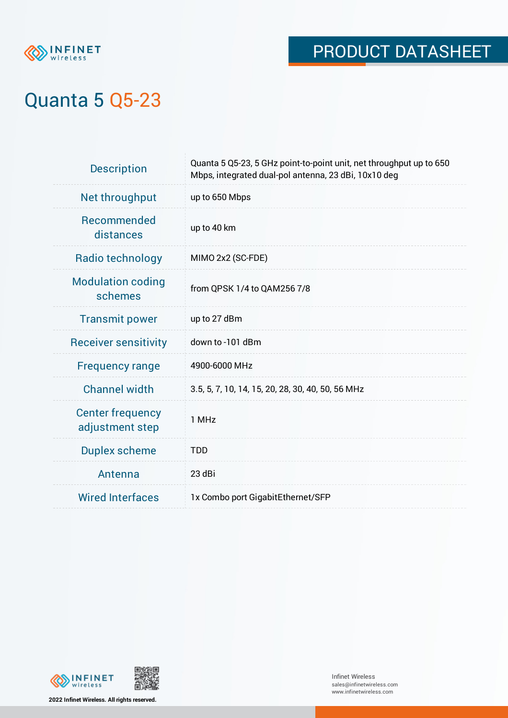

# Quanta 5 Q5-23

| <b>Description</b>                         | Quanta 5 Q5-23, 5 GHz point-to-point unit, net throughput up to 650<br>Mbps, integrated dual-pol antenna, 23 dBi, 10x10 deg |
|--------------------------------------------|-----------------------------------------------------------------------------------------------------------------------------|
| Net throughput                             | up to 650 Mbps                                                                                                              |
| Recommended<br>distances                   | up to 40 km                                                                                                                 |
| Radio technology                           | MIMO 2x2 (SC-FDE)                                                                                                           |
| <b>Modulation coding</b><br>schemes        | from QPSK 1/4 to QAM256 7/8                                                                                                 |
| <b>Transmit power</b>                      | up to 27 dBm                                                                                                                |
| <b>Receiver sensitivity</b>                | down to -101 dBm                                                                                                            |
| <b>Frequency range</b>                     | 4900-6000 MHz                                                                                                               |
| <b>Channel width</b>                       | 3.5, 5, 7, 10, 14, 15, 20, 28, 30, 40, 50, 56 MHz                                                                           |
| <b>Center frequency</b><br>adjustment step | 1 MHz                                                                                                                       |
| <b>Duplex scheme</b>                       | <b>TDD</b>                                                                                                                  |
| Antenna                                    | 23 dBi                                                                                                                      |
| <b>Wired Interfaces</b>                    | 1x Combo port GigabitEthernet/SFP                                                                                           |



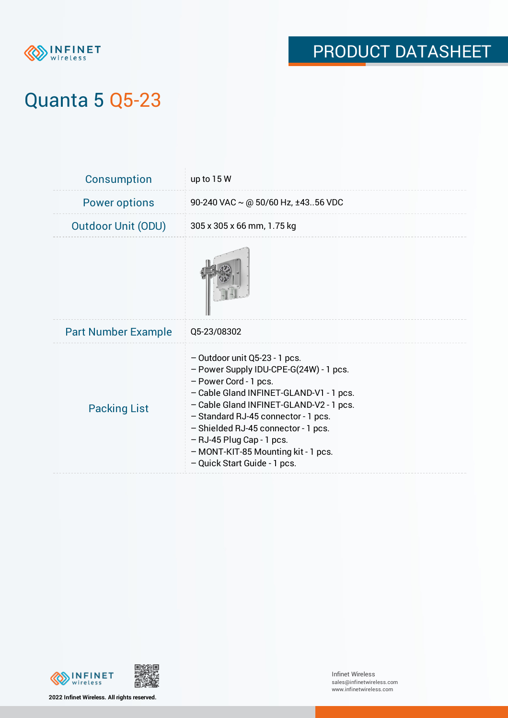

# Quanta 5 Q5-23

| <b>Consumption</b>         | up to $15W$                                                                                                                                                                                                                                                                                                                                                                |
|----------------------------|----------------------------------------------------------------------------------------------------------------------------------------------------------------------------------------------------------------------------------------------------------------------------------------------------------------------------------------------------------------------------|
| <b>Power options</b>       | 90-240 VAC $\sim$ @ 50/60 Hz, ±4356 VDC                                                                                                                                                                                                                                                                                                                                    |
| <b>Outdoor Unit (ODU)</b>  | 305 x 305 x 66 mm, 1.75 kg                                                                                                                                                                                                                                                                                                                                                 |
|                            |                                                                                                                                                                                                                                                                                                                                                                            |
| <b>Part Number Example</b> | Q5-23/08302                                                                                                                                                                                                                                                                                                                                                                |
| <b>Packing List</b>        | - Outdoor unit Q5-23 - 1 pcs.<br>- Power Supply IDU-CPE-G(24W) - 1 pcs.<br>- Power Cord - 1 pcs.<br>- Cable Gland INFINET-GLAND-V1 - 1 pcs.<br>- Cable Gland INFINET-GLAND-V2 - 1 pcs.<br>- Standard RJ-45 connector - 1 pcs.<br>- Shielded RJ-45 connector - 1 pcs.<br>$-$ RJ-45 Plug Cap - 1 pcs.<br>- MONT-KIT-85 Mounting kit - 1 pcs.<br>- Quick Start Guide - 1 pcs. |





**2022 Infinet Wireless. All rights reserved.**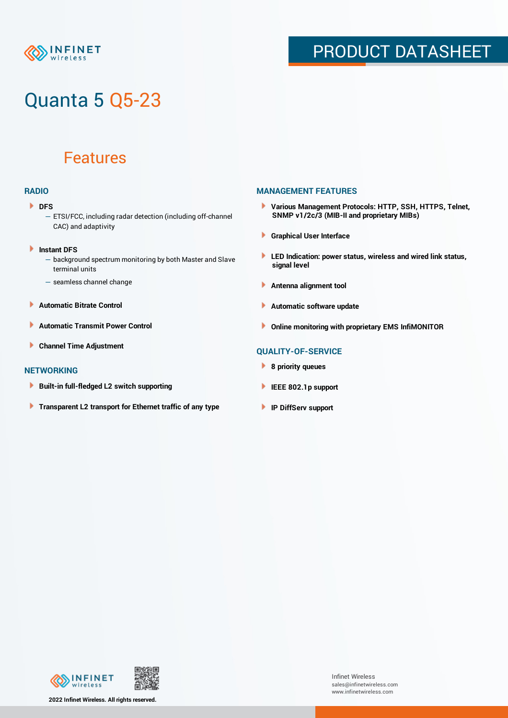

# Quanta 5 Q5-23

### Features

### **RADIO**

- **DFS** 
	- ETSI/FCC, including radar detection (including off-channel CAC) and adaptivity
- Þ **Instant DFS**
	- background spectrum monitoring by both Master and Slave terminal units
	- seamless channel change
- **Automatic Bitrate Control** Þ
- Þ **Automatic Transmit Power Control**
- Þ **Channel Time Adjustment**

#### **NETWORKING**

- Þ **Built-in full-fledged L2 switch supporting**
- Þ **Transparent L2 transport for Ethernet traffic of any type**

#### **MANAGEMENT FEATURES**

- **Various Management Protocols: HTTP, SSH, HTTPS, Telnet, SNMP v1/2c/3 (MIB-II and proprietary MIBs)**
- **Graphical User Interface**
- **LED Indication: power status, wireless and wired link status, signal level**
- **Antenna alignment tool**
- ٠ **Automatic software update**
- **Online monitoring with proprietary EMS InfiMONITOR**

### **QUALITY-OF-SERVICE**

- **8 priority queues**
- **IEEE 802.1p support**
- **IP DiffServ support**



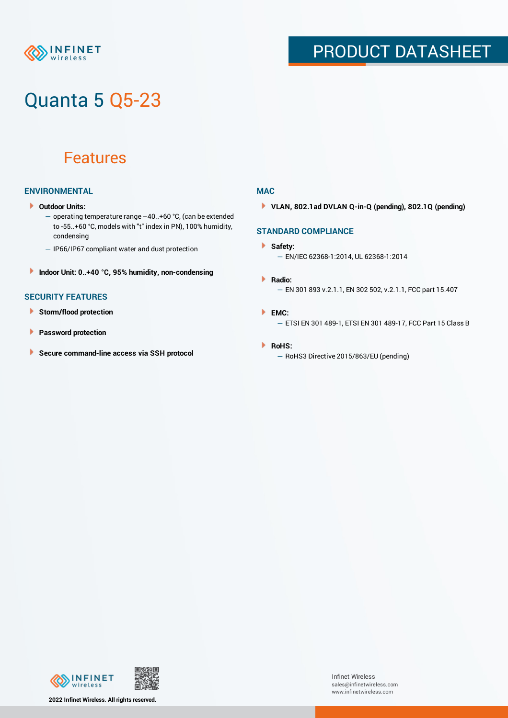

# Quanta 5 Q5-23

### Features

### **ENVIRONMENTAL**

- **Outdoor Units:**
	- operating temperature range –40..+60 °С, (can be extended to -55..+60 °С, models with "t" index in PN), 100% humidity, condensing
	- IP66/IP67 compliant water and dust protection
- **Indoor Unit: 0..+40 °C, 95% humidity, non-condensing**

### **SECURITY FEATURES**

- **Storm/flood protection**
- **Password protection**
- × **Secure command-line access via SSH protocol**

#### **MAC**

**VLAN, 802.1ad DVLAN Q-in-Q (pending), 802.1Q (pending)**

#### **STANDARD COMPLIANCE**

#### **Safety:**

- EN/IEC 62368-1:2014, UL 62368-1:2014
- **Radio:** — EN 301 893 v.2.1.1, EN 302 502, v.2.1.1, FCC part 15.407
- **EMC:** — ETSI EN 301 489-1, ETSI EN 301 489-17, FCC Part 15 Class B

#### **RoHS:**

— RoHS3 Directive 2015/863/EU (pending)